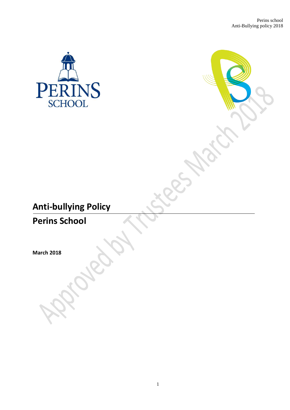

# **Anti-bullying Policy**

**Perins School**

**March 2018**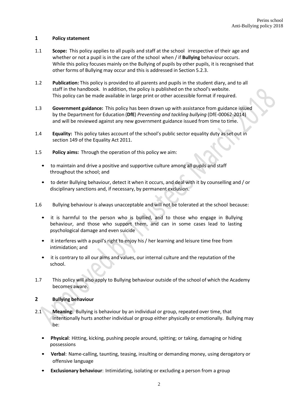### **1 Policy statement**

- 1.1 **Scope:** This policy applies to all pupils and staff at the school irrespective of their age and whether or not a pupil is in the care of the school when / if **Bullying** behaviour occurs. While this policy focuses mainly on the Bullying of pupils by other pupils, it is recognised that other forms of Bullying may occur and this is addressed in Section 5.2.3.
- 1.2 **Publication:** This policy is provided to all parents and pupils in the student diary, and to all staff in the handbook. In addition, the policy is published on the school's website. This policy can be made available in large print or other accessible format if required.
- 1.3 **Government guidance:** This policy has been drawn up with assistance from guidance issued by the Department for Education (**DfE**) *Preventing and tackling bullying* (DfE-00062-2014) and will be reviewed against any new government guidance issued from time to time.
- 1.4 **Equality:** This policy takes account of the school's public sector equality duty as set out in section 149 of the Equality Act 2011.
- 1.5 **Policy aims:** Through the operation of this policy we aim:
	- to maintain and drive a positive and supportive culture among all pupils and staff throughout the school; and
	- to deter Bullying behaviour, detect it when it occurs, and deal with it by counselling and / or disciplinary sanctions and, if necessary, by permanent exclusion.
- 1.6 Bullying behaviour is always unacceptable and will not be tolerated at the school because:
	- it is harmful to the person who is bullied, and to those who engage in Bullying behaviour, and those who support them, and can in some cases lead to lasting psychological damage and even suicide
	- it interferes with a pupil's right to enjoy his/ her learning and leisure time free from intimidation; and
	- it is contrary to all our aims and values, our internal culture and the reputation of the school.
- 1.7 This policy will also apply to Bullying behaviour outside of the school of which the Academy becomes aware.

### **2 Bullying behaviour**

- 2.1 **Meaning:** Bullying is behaviour by an individual or group, repeated over time, that intentionally hurts another individual or group either physically or emotionally. Bullying may be:
	- **Physical**: Hitting, kicking, pushing people around, spitting; or taking, damaging or hiding possessions
	- **Verbal**: Name-calling, taunting, teasing, insulting or demanding money, using derogatory or offensive language
	- **Exclusionary behaviour**: Intimidating, isolating or excluding a person from a group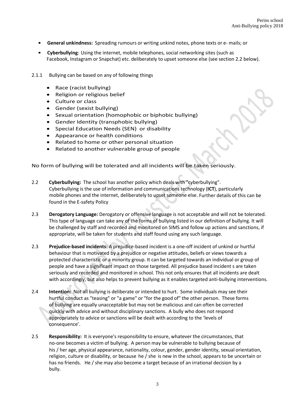- **General unkindness:** Spreading rumours or writing unkind notes, phone texts or e- mails; or
- **Cyberbullying**: Using the internet, mobile telephones, social networking sites (such as Facebook, Instagram or Snapchat) etc. deliberately to upset someone else (see section 2.2 below).
- 2.1.1 Bullying can be based on any of following things
	- Race (racist bullying)
	- Religion or religious belief
	- Culture or class
	- Gender (sexist bullying)
	- Sexual orientation (homophobic or biphobic bullying)
	- Gender Identity (transphobic bullying)
	- Special Education Needs (SEN) or disability
	- Appearance or health conditions
	- Related to home or other personal situation
	- Related to another vulnerable group of people

No form of bullying will be tolerated and all incidents will be taken seriously.

- 2.2 **Cyberbullying:** The school has another policy which deals with "cyberbullying". Cyberbullying is the use of information and communications technology (**ICT**), particularly mobile phones and the internet, deliberately to upset someone else. Further details of this can be found in the E-safety Policy
- 2.3 **Derogatory Language:** Derogatory or offensive language is not acceptable and will not be tolerated. This type of language can take any of the forms of bullying listed in our definition of bullying. It will be challenged by staff and recorded and monitored on SIMS and follow up actions and sanctions, if appropriate, will be taken for students and staff found using any such language.
- 2.3 **Prejudice-based incidents:** A prejudice-based incident is a one-off incident of unkind or hurtful behaviour that is motivated by a prejudice or negative attitudes, beliefs or views towards a protected characteristic or a minority group. It can be targeted towards an individual or group of people and have a significant impact on those targeted. All prejudice based incident s are taken seriously and recorded and monitored in school. This not only ensures that all incidents are dealt with accordingly, but also helps to prevent bullying as it enables targeted anti-bullying interventions.
- 2.4 **Intention:** Not all bullying is deliberate or intended to hurt. Some individuals may see their hurtful conduct as "teasing" or "a game" or "for the good of" the other person. These forms of bullying are equally unacceptable but may not be malicious and can often be corrected quickly with advice and without disciplinary sanctions. A bully who does not respond appropriately to advice or sanctions will be dealt with according to the 'levels of consequence'.
- 2.5 **Responsibility:** It is everyone's responsibility to ensure, whatever the circumstances, that no-one becomes a victim of bullying. A person may be vulnerable to bullying because of his / her age, physical appearance, nationality, colour, gender, gender identity, sexual orientation, religion, culture or disability, or because he / she is new in the school, appears to be uncertain or has no friends. He / she may also become a target because of an irrational decision by a bully.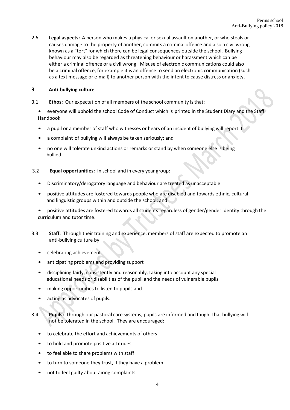2.6 **Legal aspects:** A person who makes a physical or sexual assault on another, or who steals or causes damage to the property of another, commits a criminal offence and also a civil wrong known as a "tort" for which there can be legal consequences outside the school. Bullying behaviour may also be regarded as threatening behaviour or harassment which can be either a criminal offence or a civil wrong. Misuse of electronic communications could also be a criminal offence, for example it is an offence to send an electronic communication (such as a text message or e-mail) to another person with the intent to cause distress or anxiety.

# **3 Anti-bullying culture**

- 3.1 **Ethos:** Our expectation of all members of the school community is that:
	- everyone will uphold the school Code of Conduct which is printed in the Student Diary and the Staff Handbook
	- a pupil or a member of staff who witnesses or hears of an incident of bullying will report it
	- a complaint of bullying will always be taken seriously; and
	- no one will tolerate unkind actions or remarks or stand by when someone else is being bullied.
- 3.2 **Equal opportunities:** In school and in every year group:
	- Discriminatory/derogatory language and behaviour are treated as unacceptable
	- positive attitudes are fostered towards people who are disabled and towards ethnic, cultural and linguistic groups within and outside the school; and
	- positive attitudes are fostered towards all students regardless of gender/gender identity through the curriculum and tutor time.
- 3.3 **Staff:** Through their training and experience, members of staff are expected to promote an anti-bullying culture by:
	- celebrating achievement
	- anticipating problems and providing support
	- disciplining fairly, consistently and reasonably, taking into account any special educational needs or disabilities of the pupil and the needs of vulnerable pupils
	- making opportunities to listen to pupils and
	- acting as advocates of pupils.
- 3.4 **Pupils:** Through our pastoral care systems, pupils are informed and taught that bullying will not be tolerated in the school. They are encouraged:
	- to celebrate the effort and achievements of others
	- to hold and promote positive attitudes
	- to feel able to share problems with staff
	- to turn to someone they trust, if they have a problem
	- not to feel guilty about airing complaints.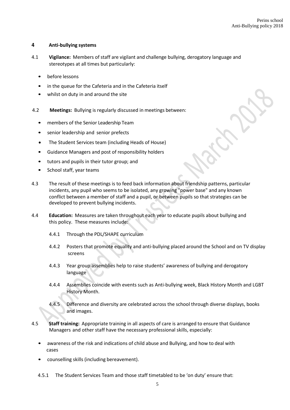# **4 Anti-bullying systems**

- 4.1 **Vigilance:** Members of staff are vigilant and challenge bullying, derogatory language and stereotypes at all times but particularly:
	- before lessons
	- in the queue for the Cafeteria and in the Cafeteria itself
	- whilst on duty in and around the site
- 4.2 **Meetings:** Bullying is regularly discussed in meetings between:
	- members of the Senior Leadership Team
	- senior leadership and senior prefects
	- The Student Services team (including Heads of House)
	- Guidance Managers and post of responsibility holders
	- tutors and pupils in their tutor group; and
	- School staff, year teams
- 4.3 The result of these meetings is to feed back information about friendship patterns, particular incidents, any pupil who seems to be isolated, any growing "power base" and any known conflict between a member of staff and a pupil, or between pupils so that strategies can be developed to prevent bullying incidents.
- 4.4 **Education:** Measures are taken throughout each year to educate pupils about bullying and this policy. These measures include:
	- 4.4.1 Through the PDL/SHAPE curriculum
	- 4.4.2 Posters that promote equality and anti-bullying placed around the School and on TV display screens
	- 4.4.3 Year group assemblies help to raise students' awareness of bullying and derogatory language
	- 4.4.4 Assemblies coincide with events such as Anti-bullying week, Black History Month and LGBT History Month.
	- 4.4.5 Difference and diversity are celebrated across the school through diverse displays, books and images.
- 4.5 **Staff training:** Appropriate training in all aspects of care is arranged to ensure that Guidance Managers and other staff have the necessary professional skills, especially:
	- awareness of the risk and indications of child abuse and Bullying, and how to deal with cases
	- counselling skills (including bereavement).
	- 4.5.1 The Student Services Team and those staff timetabled to be 'on duty' ensure that: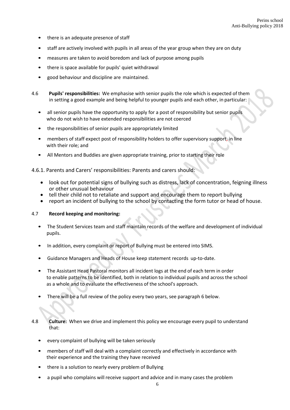- there is an adequate presence of staff
- staff are actively involved with pupils in all areas of the year group when they are on duty
- measures are taken to avoid boredom and lack of purpose among pupils
- there is space available for pupils' quiet withdrawal
- good behaviour and discipline are maintained.
- 4.6 **Pupils' responsibilities:** We emphasise with senior pupils the role which is expected of them in setting a good example and being helpful to younger pupils and each other, in particular:
	- all senior pupils have the opportunity to apply for a post of responsibility but senior pupils who do not wish to have extended responsibilities are not coerced
	- the responsibilities of senior pupils are appropriately limited
	- members of staff expect post of responsibility holders to offer supervisory support, in line with their role; and
	- All Mentors and Buddies are given appropriate training, prior to starting their role

# 4.6.1. Parents and Carers' responsibilities: Parents and carers should:

- look out for potential signs of bullying such as distress, lack of concentration, feigning illness or other unusual behaviour
- tell their child not to retaliate and support and encourage them to report bullying
- report an incident of bullying to the school by contacting the form tutor or head of house.

#### 4.7 **Record keeping and monitoring:**

- The Student Services team and staff maintain records of the welfare and development of individual pupils.
- In addition, every complaint or report of Bullying must be entered into SIMS.
- Guidance Managers and Heads of House keep statement records up-to-date.
- The Assistant Head Pastoral monitors all incident logs at the end of each term in order to enable patterns to be identified, both in relation to individual pupils and across the school as a whole and to evaluate the effectiveness of the school's approach.
- There will be a full review of the policy every two years, see paragraph 6 below.
- 4.8 **Culture:** When we drive and implement this policy we encourage every pupil to understand that:
	- every complaint of bullying will be taken seriously
	- members of staff will deal with a complaint correctly and effectively in accordance with their experience and the training they have received
	- there is a solution to nearly every problem of Bullying
	- a pupil who complains will receive support and advice and in many cases the problem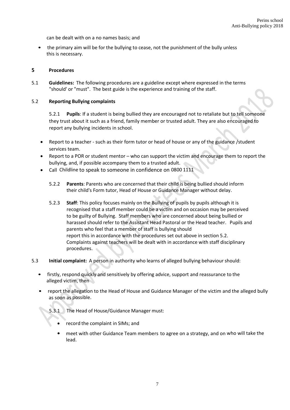can be dealt with on a no names basis; and

• the primary aim will be for the bullying to cease, not the punishment of the bully unless this is necessary.

#### **5 Procedures**

5.1 **Guidelines:** The following procedures are a guideline except where expressed in the terms "should' or "must". The best guide is the experience and training of the staff.

#### 5.2 **Reporting Bullying complaints**

5.2.1 **Pupils**: If a student is being bullied they are encouraged not to retaliate but to tell someone they trust about it such as a friend, family member or trusted adult. They are also encouraged to report any bullying incidents in school.

- Report to a teacher such as their form tutor or head of house or any of the guidance /student services team.
- Report to a POR or student mentor who can support the victim and encourage them to report the bullying, and, if possible accompany them to a trusted adult.
- Call Childline to speak to someone in confidence on 0800 1111
	- 5.2.2 **Parents**: Parents who are concerned that their child is being bullied should inform their child's Form tutor, Head of House or Guidance Manager without delay.
	- 5.2.3 **Staff**: This policy focuses mainly on the Bullying of pupils by pupils although it is recognised that a staff member could be a victim and on occasion may be perceived to be guilty of Bullying. Staff members who are concerned about being bullied or harassed should refer to the Assistant Head Pastoral or the Head teacher. Pupils and parents who feel that a member of staff is bullying should report this in accordance with the procedures set out above in section 5.2. Complaints against teachers will be dealt with in accordance with staff disciplinary procedures.
- 5.3 **Initial complaint:** A person in authority who learns of alleged bullying behaviour should:
	- firstly, respond quickly and sensitively by offering advice, support and reassurance to the alleged victim, then
	- report the allegation to the Head of House and Guidance Manager of the victim and the alleged bully as soon as possible.
		- 5.3.1 The Head of House/Guidance Manager must:
			- record the complaint in SIMs; and
			- meet with other Guidance Team members to agree on a strategy, and on who will take the lead.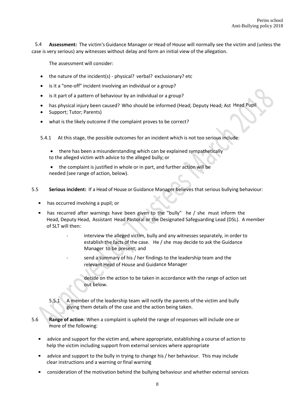**Assessment:** The victim's Guidance Manager or Head of House will normally see the victim and (unless the case is very serious) any witnesses without delay and form an initial view of the allegation. 5.4

The assessment will consider:

- the nature of the incident(s) physical? verbal? exclusionary? etc
- is it a "one-off" incident involving an individual or a group?
- is it part of a pattern of behaviour by an individual or a group?
- has physical injury been caused? Who should be informed (Head; Deputy Head; Ast Head Pupil
- Support; Tutor; Parents)
- what is the likely outcome if the complaint proves to be correct?

5.4.1 At this stage, the possible outcomes for an incident which is not too serious include:

- there has been a misunderstanding which can be explained sympathetically to the alleged victim with advice to the alleged bully; or
- the complaint is justified in whole or in part, and further action will be needed (see range of action, below).
- 5.5 **Serious incident:** If a Head of House or Guidance Manager believes that serious bullying behaviour:
	- has occurred involving a pupil; or
	- has recurred after warnings have been given to the "bully" he / she must inform the Head, Deputy Head, Assistant Head Pastoral or the Designated Safeguarding Lead (DSL). A member of SLT will then:
		- interview the alleged victim, bully and any witnesses separately, in order to establish the facts of the case. He / she may decide to ask the Guidance Manager to be present; and
		- send a summary of his / her findings to the leadership team and the relevant Head of House and Guidance Manager

decide on the action to be taken in accordance with the range of action set out below.

- 5.5.1 A member of the leadership team will notify the parents of the victim and bully giving them details of the case and the action being taken.
- 5.6 **Range of action**: When a complaint is upheld the range of responses will include one or more of the following:
	- advice and support for the victim and, where appropriate, establishing a course of action to help the victim including support from external services where appropriate
	- advice and support to the bully in trying to change his/ her behaviour. This may include clear instructions and a warning or final warning
	- consideration of the motivation behind the bullying behaviour and whether external services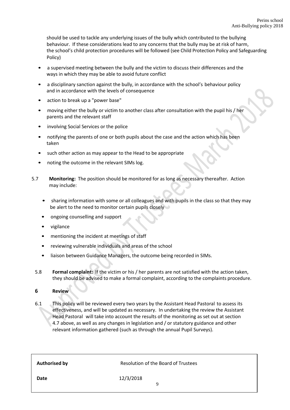should be used to tackle any underlying issues of the bully which contributed to the bullying behaviour. If these considerations lead to any concerns that the bully may be at risk of harm, the school's child protection procedures will be followed (see Child Protection Policy and Safeguarding Policy)

- a supervised meeting between the bully and the victim to discuss their differences and the ways in which they may be able to avoid future conflict
- a disciplinary sanction against the bully, in accordance with the school's behaviour policy and in accordance with the levels of consequence
- action to break up a "power base"
- moving either the bully or victim to another class after consultation with the pupil his / her parents and the relevant staff
- involving Social Services or the police
- notifying the parents of one or both pupils about the case and the action which has been taken
- such other action as may appear to the Head to be appropriate
- noting the outcome in the relevant SIMs log.
- 5.7 **Monitoring:** The position should be monitored for as long as necessary thereafter. Action may include:
	- sharing information with some or all colleagues and with pupils in the class so that they may be alert to the need to monitor certain pupils closely
	- ongoing counselling and support
	- vigilance
	- mentioning the incident at meetings of staff
	- reviewing vulnerable individuals and areas of the school
	- liaison between Guidance Managers, the outcome being recorded in SIMs.
	- 5.8 **Formal complaint:** If the victim or his / her parents are not satisfied with the action taken, they should be advised to make a formal complaint, according to the complaints procedure.

# **6 Review**

6.1 This policy will be reviewed every two years by the Assistant Head Pastoral to assess its effectiveness, and will be updated as necessary. In undertaking the review the Assistant Head Pastoral will take into account the results of the monitoring as set out at section 4.7 above, as well as any changes in legislation and / or statutory guidance and other relevant information gathered (such as through the annual Pupil Surveys).

| <b>Authorised by</b> | <b>Resolution of the Board of Trustees</b> |
|----------------------|--------------------------------------------|
| <b>Date</b>          | 12/3/2018<br>q                             |
|                      |                                            |